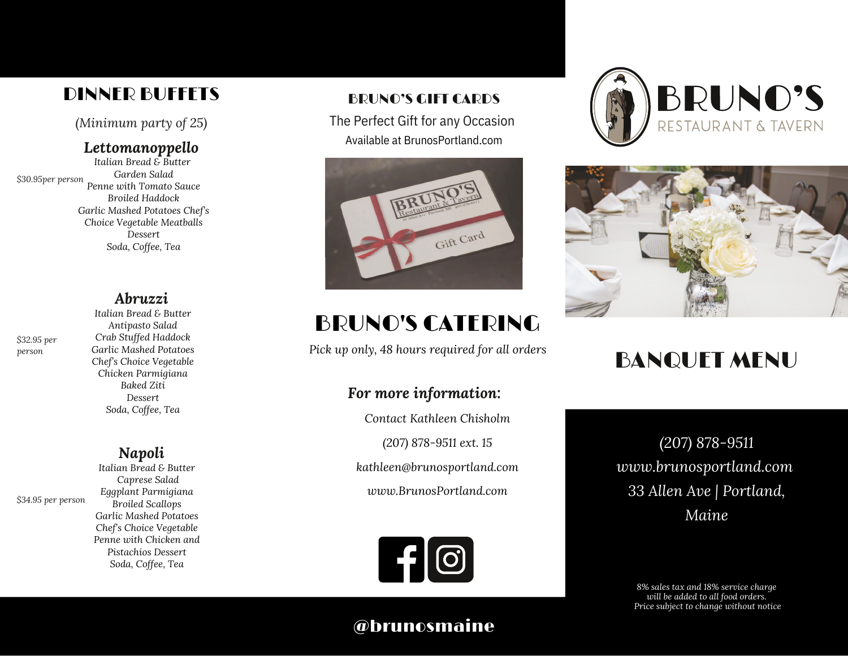# DINNER BUFFETS BRUNO'S GIFT CARDS

*(Minimum party of 25)*

### *Lettomanoppello*

*Italian Bread & Butter Garden Salad Penne with Tomato Sauce Broiled Haddock Garlic Mashed Potatoes Chef's Choice Vegetable Meatballs Dessert Soda, Coffee, Tea \$30.95per person*

# *Abruzzi*

*\$32.95 per person*

*\$34.95 per person*

#### *Italian Bread & Butter Antipasto Salad Crab Stuffed Haddock Garlic Mashed Potatoes Chef's Choice Vegetable Chicken Parmigiana Baked Ziti Dessert Soda, Coffee, Tea*

# *Napoli*

*Italian Bread & Butter Caprese Salad Eggplant Parmigiana Broiled Scallops Garlic Mashed Potatoes Chef's Choice Vegetable Penne with Chicken and Pistachios Dessert Soda, Coffee, Tea*

The Perfect Gift for any Occasion Available at BrunosPortland.com



# BRUNO'S CATERING

# *For more information:*

*Contact Kathleen Chisholm (207) 878-9511 ext. 15 kathleen@brunosportland.com www.BrunosPortland.com*







# *Pick up only, <sup>48</sup> hours required for all orders* BANQUET MENU

*(207) 878-9511 www.brunosportland.com 33 Allen Ave | Portland, Maine*

*8% sales tax and 18% service charge will be added to all food orders. Price subject to change without notice*

# @brunosmaine